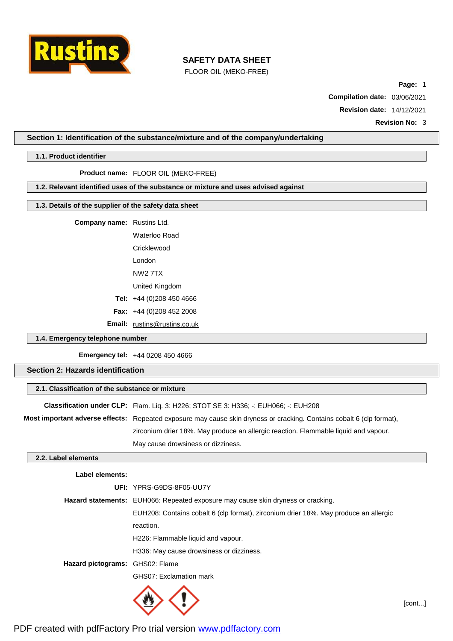

FLOOR OIL (MEKO-FREE)

**Page:** 1

**Compilation date:** 03/06/2021

**Revision date:** 14/12/2021

**Revision No:** 3

## **Section 1: Identification of the substance/mixture and of the company/undertaking**

#### **1.1. Product identifier**

**Product name:** FLOOR OIL (MEKO-FREE)

## **1.2. Relevant identified uses of the substance or mixture and uses advised against**

# **1.3. Details of the supplier of the safety data sheet**

**Company name:** Rustins Ltd.

Waterloo Road Cricklewood London NW2 7TX United Kingdom **Tel:** +44 (0)208 450 4666 **Fax:** +44 (0)208 452 2008

**Email:** [rustins@rustins.co.uk](mailto:rustins@rustins.co.uk)

## **1.4. Emergency telephone number**

**Emergency tel:** +44 0208 450 4666

## **Section 2: Hazards identification**

| 2.1. Classification of the substance or mixture                                                                       |  |  |
|-----------------------------------------------------------------------------------------------------------------------|--|--|
| Classification under CLP: Flam. Lig. 3: H226; STOT SE 3: H336; -: EUH066; -: EUH208                                   |  |  |
| Most important adverse effects: Repeated exposure may cause skin dryness or cracking. Contains cobalt 6 (clp format), |  |  |
| zirconium drier 18%. May produce an allergic reaction. Flammable liquid and vapour.                                   |  |  |
| May cause drowsiness or dizziness.                                                                                    |  |  |

### **2.2. Label elements**

### **Label elements:**

|                                 | UFI: YPRS-G9DS-8F05-UU7Y                                                             |  |  |
|---------------------------------|--------------------------------------------------------------------------------------|--|--|
|                                 | Hazard statements: EUH066: Repeated exposure may cause skin dryness or cracking.     |  |  |
|                                 | EUH208: Contains cobalt 6 (clp format), zirconium drier 18%. May produce an allergic |  |  |
|                                 | reaction.                                                                            |  |  |
|                                 | H226: Flammable liquid and vapour.                                                   |  |  |
|                                 | H336: May cause drowsiness or dizziness.                                             |  |  |
| Hazard pictograms: GHS02: Flame |                                                                                      |  |  |
|                                 | GHS07: Exclamation mark                                                              |  |  |
|                                 | $\ddot{\phantom{1}}$                                                                 |  |  |



[cont...]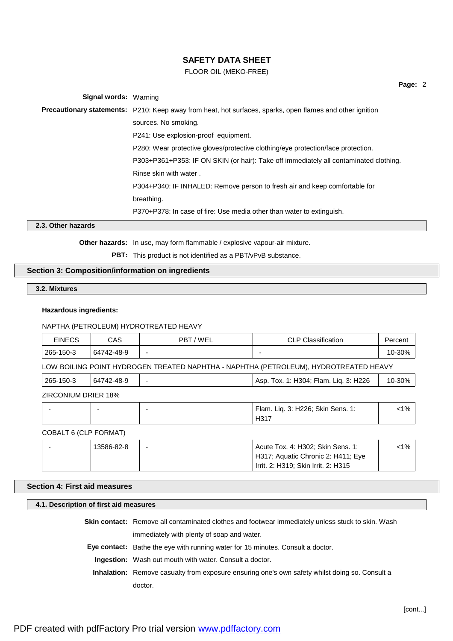## FLOOR OIL (MEKO-FREE)

**Page:** 2

| <b>Signal words: Warning</b> |                                                                                                                  |
|------------------------------|------------------------------------------------------------------------------------------------------------------|
|                              | <b>Precautionary statements:</b> P210: Keep away from heat, hot surfaces, sparks, open flames and other ignition |
|                              | sources. No smoking.                                                                                             |
|                              | P241: Use explosion-proof equipment.                                                                             |
|                              | P280: Wear protective gloves/protective clothing/eye protection/face protection.                                 |
|                              | P303+P361+P353: IF ON SKIN (or hair): Take off immediately all contaminated clothing.                            |
|                              | Rinse skin with water.                                                                                           |
|                              | P304+P340: IF INHALED: Remove person to fresh air and keep comfortable for                                       |
|                              | breathing.                                                                                                       |
|                              | P370+P378: In case of fire: Use media other than water to extinguish.                                            |
|                              |                                                                                                                  |

**2.3. Other hazards**

**Other hazards:** In use, may form flammable / explosive vapour-air mixture.

**PBT:** This product is not identified as a PBT/vPvB substance.

## **Section 3: Composition/information on ingredients**

**3.2. Mixtures**

#### **Hazardous ingredients:**

NAPTHA (PETROLEUM) HYDROTREATED HEAVY

| EINECS    | CAS        | / WEL<br><b>PBT</b>      | <b>CLP Classification</b> | Percent |
|-----------|------------|--------------------------|---------------------------|---------|
| 265-150-3 | 64742-48-9 | $\overline{\phantom{0}}$ |                           | 10-30%  |

LOW BOILING POINT HYDROGEN TREATED NAPHTHA - NAPHTHA (PETROLEUM), HYDROTREATED HEAVY

| 265-150-3           | 64742-48-9 | $\overline{\phantom{0}}$ | Asp. Tox. 1: H304; Flam. Lig. 3: H226 | $10-30\%$ |
|---------------------|------------|--------------------------|---------------------------------------|-----------|
| ZIRCONIUM DRIER 18% |            |                          |                                       |           |

|  | Flam. Liq. 3: H226; Skin Sens. 1:<br>H317 | $1\%$ |
|--|-------------------------------------------|-------|
|  |                                           |       |

### COBALT 6 (CLP FORMAT)

| 13586-82-8 | Acute Tox. 4: H302; Skin Sens. 1:   | <1% |
|------------|-------------------------------------|-----|
|            | H317; Aquatic Chronic 2: H411; Eye  |     |
|            | Irrit. 2: H319: Skin Irrit. 2: H315 |     |

## **Section 4: First aid measures**

**4.1. Description of first aid measures**

**Skin contact:** Remove all contaminated clothes and footwear immediately unless stuck to skin. Wash immediately with plenty of soap and water.

**Eye contact:** Bathe the eye with running water for 15 minutes. Consult a doctor.

**Ingestion:** Wash out mouth with water. Consult a doctor.

**Inhalation:** Remove casualty from exposure ensuring one's own safety whilst doing so. Consult a doctor.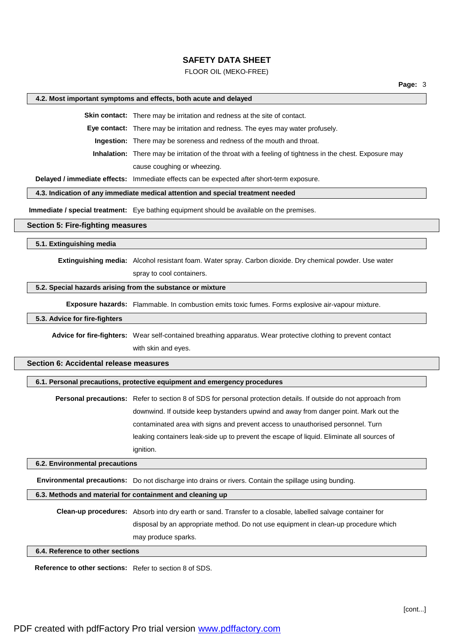#### FLOOR OIL (MEKO-FREE)

#### **4.2. Most important symptoms and effects, both acute and delayed**

**Skin contact:** There may be irritation and redness at the site of contact.

**Eye contact:** There may be irritation and redness. The eyes may water profusely.

**Ingestion:** There may be soreness and redness of the mouth and throat.

**Inhalation:** There may be irritation of the throat with a feeling of tightness in the chest. Exposure may cause coughing or wheezing.

**Delayed / immediate effects:** Immediate effects can be expected after short-term exposure.

#### **4.3. Indication of any immediate medical attention and special treatment needed**

**Immediate / special treatment:** Eye bathing equipment should be available on the premises.

#### **Section 5: Fire-fighting measures**

**5.1. Extinguishing media**

**Extinguishing media:** Alcohol resistant foam. Water spray. Carbon dioxide. Dry chemical powder. Use water spray to cool containers.

#### **5.2. Special hazards arising from the substance or mixture**

**Exposure hazards:** Flammable. In combustion emits toxic fumes. Forms explosive air-vapour mixture.

#### **5.3. Advice for fire-fighters**

**Advice for fire-fighters:** Wear self-contained breathing apparatus. Wear protective clothing to prevent contact with skin and eyes.

## **Section 6: Accidental release measures**

#### **6.1. Personal precautions, protective equipment and emergency procedures**

**Personal precautions:** Refer to section 8 of SDS for personal protection details. If outside do not approach from downwind. If outside keep bystanders upwind and away from danger point. Mark out the contaminated area with signs and prevent access to unauthorised personnel. Turn leaking containers leak-side up to prevent the escape of liquid. Eliminate all sources of ignition.

#### **6.2. Environmental precautions**

**Environmental precautions:** Do not discharge into drains or rivers. Contain the spillage using bunding.

### **6.3. Methods and material for containment and cleaning up**

**Clean-up procedures:** Absorb into dry earth or sand. Transfer to a closable, labelled salvage container for disposal by an appropriate method. Do not use equipment in clean-up procedure which may produce sparks.

#### **6.4. Reference to other sections**

**Reference to other sections:** Refer to section 8 of SDS.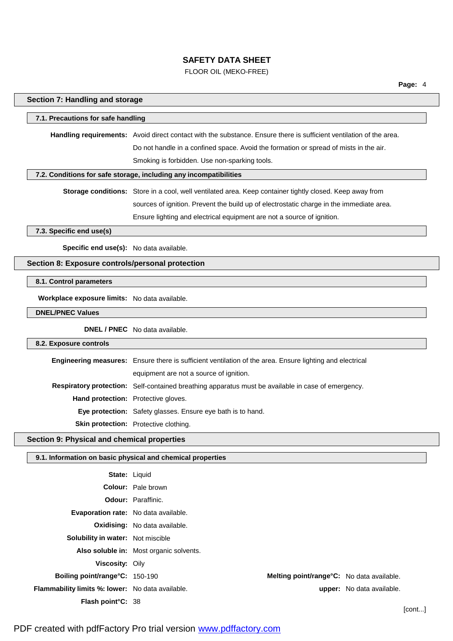## FLOOR OIL (MEKO-FREE)

| Section 7: Handling and storage                  |                                                                                                                     |  |
|--------------------------------------------------|---------------------------------------------------------------------------------------------------------------------|--|
| 7.1. Precautions for safe handling               |                                                                                                                     |  |
|                                                  | Handling requirements: Avoid direct contact with the substance. Ensure there is sufficient ventilation of the area. |  |
|                                                  | Do not handle in a confined space. Avoid the formation or spread of mists in the air.                               |  |
|                                                  | Smoking is forbidden. Use non-sparking tools.                                                                       |  |
|                                                  | 7.2. Conditions for safe storage, including any incompatibilities                                                   |  |
|                                                  | Storage conditions: Store in a cool, well ventilated area. Keep container tightly closed. Keep away from            |  |
|                                                  | sources of ignition. Prevent the build up of electrostatic charge in the immediate area.                            |  |
|                                                  | Ensure lighting and electrical equipment are not a source of ignition.                                              |  |
| 7.3. Specific end use(s)                         |                                                                                                                     |  |
|                                                  |                                                                                                                     |  |
| Specific end use(s): No data available.          |                                                                                                                     |  |
| Section 8: Exposure controls/personal protection |                                                                                                                     |  |
| 8.1. Control parameters                          |                                                                                                                     |  |
| Workplace exposure limits: No data available.    |                                                                                                                     |  |
| <b>DNEL/PNEC Values</b>                          |                                                                                                                     |  |
|                                                  | <b>DNEL / PNEC</b> No data available.                                                                               |  |
| 8.2. Exposure controls                           |                                                                                                                     |  |
|                                                  | Engineering measures: Ensure there is sufficient ventilation of the area. Ensure lighting and electrical            |  |
|                                                  | equipment are not a source of ignition.                                                                             |  |
|                                                  | Respiratory protection: Self-contained breathing apparatus must be available in case of emergency.                  |  |
|                                                  | Hand protection: Protective gloves.                                                                                 |  |
|                                                  | Eye protection: Safety glasses. Ensure eye bath is to hand.                                                         |  |
|                                                  | Skin protection: Protective clothing.                                                                               |  |
| Section 9: Physical and chemical properties      |                                                                                                                     |  |
|                                                  | 9.1. Information on basic physical and chemical properties                                                          |  |
|                                                  | State: Liquid                                                                                                       |  |
|                                                  | Colour: Pale brown                                                                                                  |  |
|                                                  | Odour: Paraffinic.                                                                                                  |  |

**Evaporation rate:** No data available.

**Solubility in water:** Not miscible

**Oxidising:** No data available.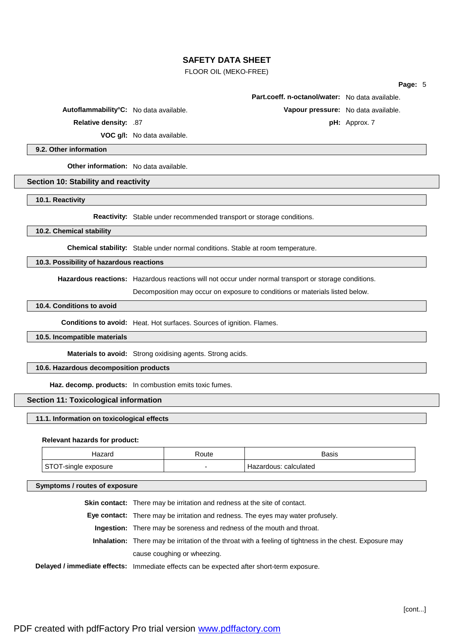### FLOOR OIL (MEKO-FREE)

| aae. |  |  |
|------|--|--|
|      |  |  |

|              | <b>Part.coeff. n-octanol/water:</b> No data available. |                 |
|--------------|--------------------------------------------------------|-----------------|
| a available. | Vapour pressure: No data available.                    |                 |
|              |                                                        | $pH:$ Approx. 7 |

**Autoflammability°C:** No data

**Relative density: .87** 

**VOC g/l:** No data available.

**9.2. Other information**

**Other information:** No data available.

#### **Section 10: Stability and reactivity**

**10.1. Reactivity**

**Reactivity:** Stable under recommended transport or storage conditions.

**10.2. Chemical stability**

**Chemical stability:** Stable under normal conditions. Stable at room temperature.

## **10.3. Possibility of hazardous reactions**

**Hazardous reactions:** Hazardous reactions will not occur under normal transport or storage conditions.

Decomposition may occur on exposure to conditions or materials listed below.

## **10.4. Conditions to avoid**

**Conditions to avoid:** Heat. Hot surfaces. Sources of ignition. Flames.

## **10.5. Incompatible materials**

**Materials to avoid:** Strong oxidising agents. Strong acids.

## **10.6. Hazardous decomposition products**

**Haz. decomp. products:** In combustion emits toxic fumes.

## **Section 11: Toxicological information**

#### **11.1. Information on toxicological effects**

#### **Relevant hazards for product:**

| lazard                     | oute: | Basis                    |
|----------------------------|-------|--------------------------|
| c٦<br>I-single<br>exposure |       | calculated<br>Hazardous: |

**Symptoms / routes of exposure**

**Skin contact:** There may be irritation and redness at the site of contact.

**Eye contact:** There may be irritation and redness. The eyes may water profusely.

**Ingestion:** There may be soreness and redness of the mouth and throat.

**Inhalation:** There may be irritation of the throat with a feeling of tightness in the chest. Exposure may cause coughing or wheezing.

**Delayed / immediate effects:** Immediate effects can be expected after short-term exposure.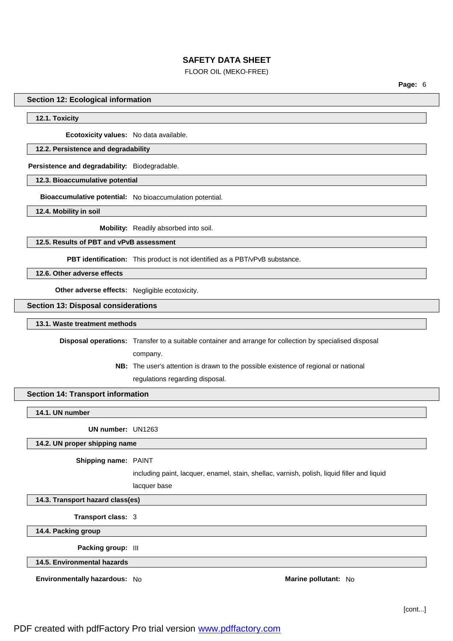### FLOOR OIL (MEKO-FREE)

**Page:** 6

#### **Section 12: Ecological information**

#### **12.1. Toxicity**

**Ecotoxicity values:** No data available.

#### **12.2. Persistence and degradability**

**Persistence and degradability:** Biodegradable.

**12.3. Bioaccumulative potential**

**Bioaccumulative potential:** No bioaccumulation potential.

**12.4. Mobility in soil**

**Mobility:** Readily absorbed into soil.

**12.5. Results of PBT and vPvB assessment**

**PBT identification:** This product is not identified as a PBT/vPvB substance.

**12.6. Other adverse effects**

**Other adverse effects:** Negligible ecotoxicity.

**Section 13: Disposal considerations**

#### **13.1. Waste treatment methods**

**Disposal operations:** Transfer to a suitable container and arrange for collection by specialised disposal

company.

**NB:** The user's attention is drawn to the possible existence of regional or national regulations regarding disposal.

### **Section 14: Transport information**

**14.1. UN number**

**UN number:** UN1263

#### **14.2. UN proper shipping name**

#### **Shipping name:** PAINT

including paint, lacquer, enamel, stain, shellac, varnish, polish, liquid filler and liquid

lacquer base

**14.3. Transport hazard class(es)**

**Transport class:** 3

**14.4. Packing group**

**Packing group:** III

**14.5. Environmental hazards**

**Environmentally hazardous:** No **Marine pollutant:** No **Marine pollutant:** No